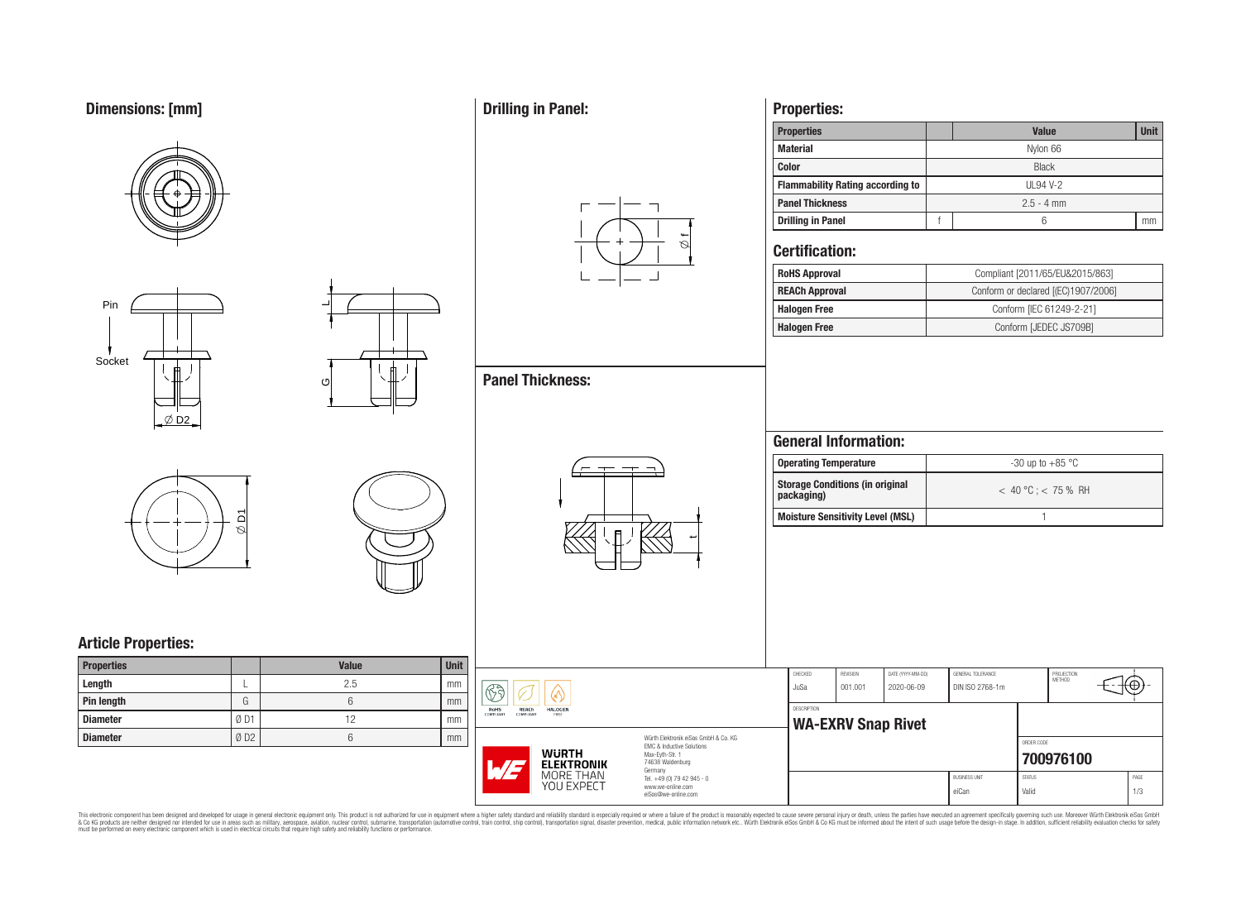# **Dimensions: [mm]**









 $\overline{\phantom{0}}$ 

ပ

# **Article Properties:**

| <b>Properties</b> |     | <b>Value</b> | <b>Unit</b> |
|-------------------|-----|--------------|-------------|
| Length            |     | 2.5          | mm          |
| Pin length        | G   |              | mm          |
| <b>Diameter</b>   | ØD1 | 12           | mm          |
| <b>Diameter</b>   | ØD2 |              | mm          |

## **Drilling in Panel:**

**Panel Thickness:**



 $\overline{\phantom{a}}$ 

## **Properties:**

| <b>Properties</b>                       |              | <b>Unit</b><br><b>Value</b> |    |  |  |  |  |  |  |
|-----------------------------------------|--------------|-----------------------------|----|--|--|--|--|--|--|
| <b>Material</b>                         | Nylon 66     |                             |    |  |  |  |  |  |  |
| <b>Color</b>                            | <b>Black</b> |                             |    |  |  |  |  |  |  |
| <b>Flammability Rating according to</b> | UL94 V-2     |                             |    |  |  |  |  |  |  |
| <b>Panel Thickness</b>                  | $2.5 - 4$ mm |                             |    |  |  |  |  |  |  |
| <b>Drilling in Panel</b>                |              | 6                           | mm |  |  |  |  |  |  |

### **Certification:**

| <b>RoHS Approval</b>  | Compliant [2011/65/EU&2015/863]     |
|-----------------------|-------------------------------------|
| <b>REACh Approval</b> | Conform or declared [(EC)1907/2006] |
| <b>Halogen Free</b>   | Conform [IEC 61249-2-21]            |
| <b>Halogen Free</b>   | Conform [JEDEC JS709B]              |

## **General Information:**

| Operating Temperature                                | $-30$ up to $+85\text{ }^{\circ}\text{C}$ |
|------------------------------------------------------|-------------------------------------------|
| <b>Storage Conditions (in original</b><br>packaging) | $< 40 °C$ : $< 75 %$ RH                   |
| <b>Moisture Sensitivity Level (MSL)</b>              |                                           |

| <b>Unit</b><br>mm |                                                                               |                                                                   | CHECKED            | REVISION                  | DATE (YYYY-MM-DD) | GENERAL TOLERANCE    | PROJECTION<br>METHOD | θ    |  |
|-------------------|-------------------------------------------------------------------------------|-------------------------------------------------------------------|--------------------|---------------------------|-------------------|----------------------|----------------------|------|--|
| mm                | 63                                                                            |                                                                   | JuSa               | 001.001                   | 2020-06-09        | DIN ISO 2768-1m      |                      |      |  |
| mm                | HALOGEN<br><b>RoHS</b><br><b>REACH</b><br>COMPLIANT<br>COMPLIANT<br>FREE      |                                                                   | <b>DESCRIPTION</b> | <b>WA-EXRV Snap Rivet</b> |                   |                      |                      |      |  |
| mm                |                                                                               | Würth Elektronik eiSos GmbH & Co. KG<br>EMC & Inductive Solutions |                    |                           |                   |                      | ORDER CODE           |      |  |
|                   | <b>WURTH</b><br>Max-Eyth-Str. 1<br>74638 Waldenburg<br>M<br><b>ELEKTRONIK</b> |                                                                   |                    |                           |                   |                      | 700976100            |      |  |
|                   | MORE THAN<br>YOU EXPECT                                                       | Germany<br>Tel. +49 (0) 79 42 945 - 0<br>www.we-online.com        |                    |                           |                   | <b>BUSINESS UNIT</b> | <b>STATUS</b>        | PAGE |  |
|                   |                                                                               | eiSos@we-online.com                                               |                    |                           |                   | eiCan                | Valid                | 1/3  |  |

This electronic component has been designed and developed for usage in general electronic equipment only. This product is not authorized for subserved requipment where a higher selection equipment where a higher selection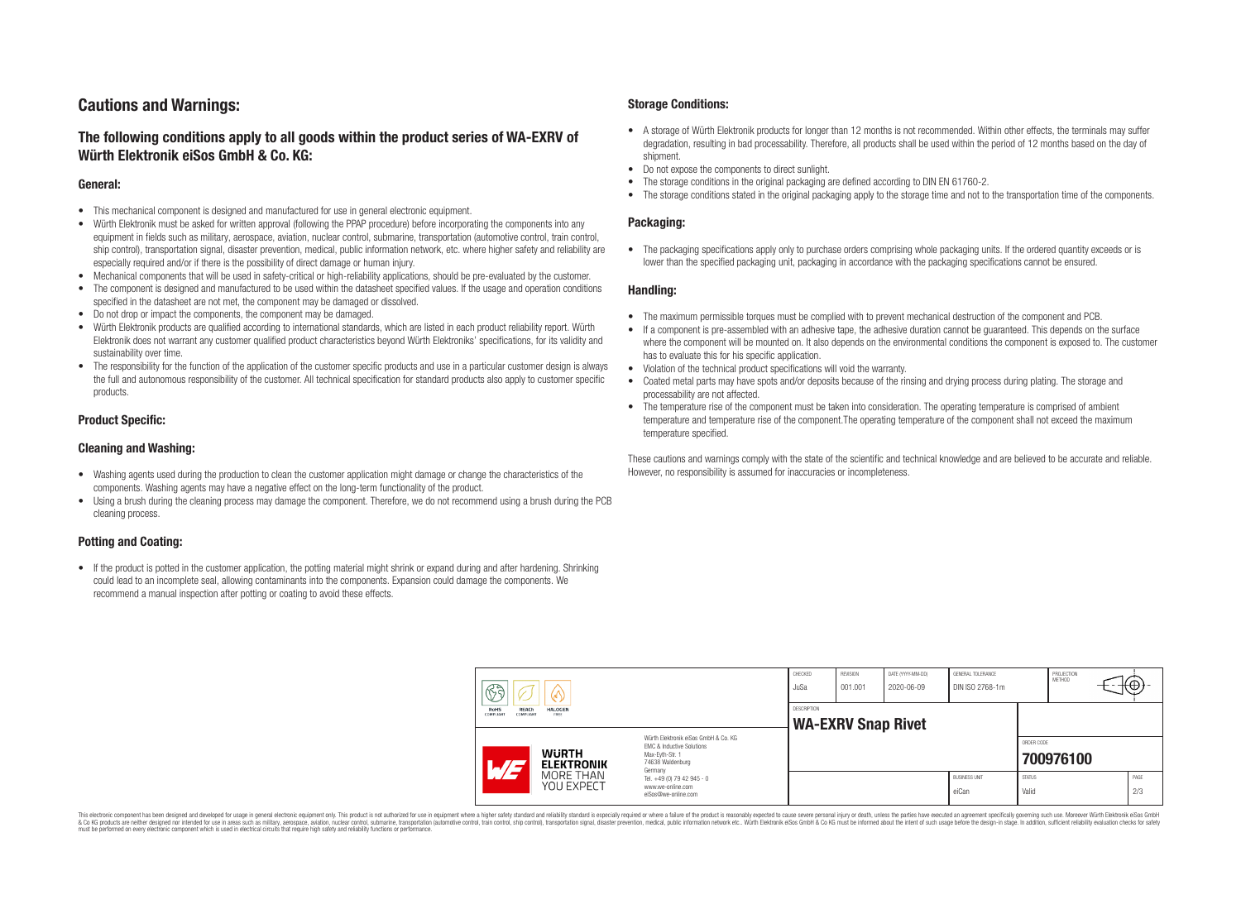## **Cautions and Warnings:**

### **The following conditions apply to all goods within the product series of WA-EXRV of Würth Elektronik eiSos GmbH & Co. KG:**

#### **General:**

- This mechanical component is designed and manufactured for use in general electronic equipment.
- Würth Elektronik must be asked for written approval (following the PPAP procedure) before incorporating the components into any equipment in fields such as military, aerospace, aviation, nuclear control, submarine, transportation (automotive control, train control, ship control), transportation signal, disaster prevention, medical, public information network, etc. where higher safety and reliability are especially required and/or if there is the possibility of direct damage or human injury.
- Mechanical components that will be used in safety-critical or high-reliability applications, should be pre-evaluated by the customer.
- The component is designed and manufactured to be used within the datasheet specified values. If the usage and operation conditions specified in the datasheet are not met, the component may be damaged or dissolved.
- Do not drop or impact the components, the component may be damaged.<br>• Wirth Elektronik products are qualified according to international standard
- Würth Elektronik products are qualified according to international standards, which are listed in each product reliability report. Würth Elektronik does not warrant any customer qualified product characteristics beyond Würth Elektroniks' specifications, for its validity and sustainability over time.
- The responsibility for the function of the application of the customer specific products and use in a particular customer design is always the full and autonomous responsibility of the customer. All technical specification for standard products also apply to customer specific products.

#### **Product Specific:**

#### **Cleaning and Washing:**

- Washing agents used during the production to clean the customer application might damage or change the characteristics of the components. Washing agents may have a negative effect on the long-term functionality of the product.
- Using a brush during the cleaning process may damage the component. Therefore, we do not recommend using a brush during the PCB cleaning process.

#### **Potting and Coating:**

• If the product is potted in the customer application, the potting material might shrink or expand during and after hardening. Shrinking could lead to an incomplete seal, allowing contaminants into the components. Expansion could damage the components. We recommend a manual inspection after potting or coating to avoid these effects.

#### **Storage Conditions:**

- A storage of Würth Elektronik products for longer than 12 months is not recommended. Within other effects, the terminals may suffer degradation, resulting in bad processability. Therefore, all products shall be used within the period of 12 months based on the day of shipment.
- Do not expose the components to direct sunlight.<br>• The storage conditions in the original packaging
- The storage conditions in the original packaging are defined according to DIN EN 61760-2.
- The storage conditions stated in the original packaging apply to the storage time and not to the transportation time of the components.

#### **Packaging:**

• The packaging specifications apply only to purchase orders comprising whole packaging units. If the ordered quantity exceeds or is lower than the specified packaging unit, packaging in accordance with the packaging specifications cannot be ensured.

#### **Handling:**

- The maximum permissible torques must be complied with to prevent mechanical destruction of the component and PCB.
- If a component is pre-assembled with an adhesive tape, the adhesive duration cannot be guaranteed. This depends on the surface where the component will be mounted on. It also depends on the environmental conditions the component is exposed to. The customer has to evaluate this for his specific application.
- Violation of the technical product specifications will void the warranty.
- Coated metal parts may have spots and/or deposits because of the rinsing and drying process during plating. The storage and processability are not affected.
- The temperature rise of the component must be taken into consideration. The operating temperature is comprised of ambient temperature and temperature rise of the component.The operating temperature of the component shall not exceed the maximum temperature specified.

These cautions and warnings comply with the state of the scientific and technical knowledge and are believed to be accurate and reliable. However, no responsibility is assumed for inaccuracies or incompleteness.

|                                                                          | 63                       |                                          | CHECKED<br>JuSa                                                                                                     | <b>REVISION</b><br>001.001 | DATE (YYYY-MM-DD)<br>2020-06-09 | <b>GENERAL TOLERANCE</b><br>DIN ISO 2768-1m |                               | PROJECTION<br>METHOD   | К⊕;       |  |             |
|--------------------------------------------------------------------------|--------------------------|------------------------------------------|---------------------------------------------------------------------------------------------------------------------|----------------------------|---------------------------------|---------------------------------------------|-------------------------------|------------------------|-----------|--|-------------|
| RoHS<br><b>REACh</b><br><b>HALOGEN</b><br>COMPLIANT<br>COMPLIANT<br>FREE |                          | DESCRIPTION<br><b>WA-EXRV Snap Rivet</b> |                                                                                                                     |                            |                                 |                                             |                               |                        |           |  |             |
|                                                                          | $\overline{\phantom{a}}$ | <b>WURTH</b><br><b>ELEKTRONIK</b>        | Würth Elektronik eiSos GmbH & Co. KG<br>EMC & Inductive Solutions<br>Max-Evth-Str. 1<br>74638 Waldenburg<br>Germany |                            |                                 |                                             |                               | ORDER CODE             | 700976100 |  |             |
|                                                                          |                          | MORE THAN<br>YOU EXPECT                  | Tel. +49 (0) 79 42 945 - 0<br>www.we-online.com<br>eiSos@we-online.com                                              |                            |                                 |                                             | <b>BUSINESS UNIT</b><br>eiCan | <b>STATUS</b><br>Valid |           |  | PAGE<br>2/3 |

This electronic component has been designed and developed for usage in general electronic equipment only. This product is not authorized for use in equipment where a higher safety standard and reliability standard si espec & Ook product a label and the membed of the seasuch as marked and as which such a membed and the such assume that income in the seasuch and the simulation and the such assume that include to the such a membed and the such